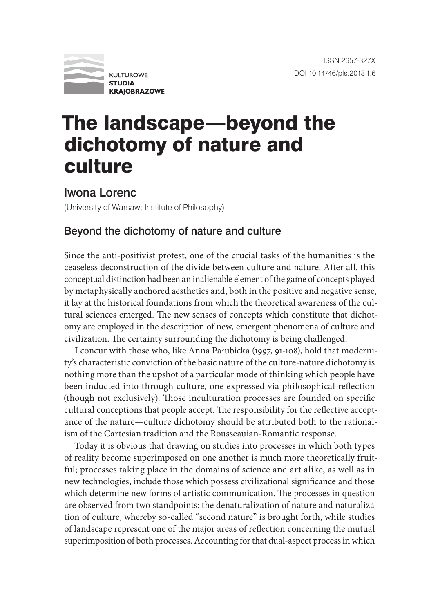

# The landscape—beyond the dichotomy of nature and culture

# Iwona Lorenc

(University of Warsaw; Institute of Philosophy)

# Beyond the dichotomy of nature and culture

Since the anti-positivist protest, one of the crucial tasks of the humanities is the ceaseless deconstruction of the divide between culture and nature. After all, this conceptual distinction had been an inalienable element of the game of concepts played by metaphysically anchored aesthetics and, both in the positive and negative sense, it lay at the historical foundations from which the theoretical awareness of the cultural sciences emerged. The new senses of concepts which constitute that dichotomy are employed in the description of new, emergent phenomena of culture and civilization. The certainty surrounding the dichotomy is being challenged.

I concur with those who, like Anna Pałubicka (1997, 91-108), hold that modernity's characteristic conviction of the basic nature of the culture-nature dichotomy is nothing more than the upshot of a particular mode of thinking which people have been inducted into through culture, one expressed via philosophical reflection (though not exclusively). Those inculturation processes are founded on specific cultural conceptions that people accept. The responsibility for the reflective acceptance of the nature—culture dichotomy should be attributed both to the rationalism of the Cartesian tradition and the Rousseauian-Romantic response.

Today it is obvious that drawing on studies into processes in which both types of reality become superimposed on one another is much more theoretically fruitful; processes taking place in the domains of science and art alike, as well as in new technologies, include those which possess civilizational significance and those which determine new forms of artistic communication. The processes in question are observed from two standpoints: the denaturalization of nature and naturalization of culture, whereby so-called "second nature" is brought forth, while studies of landscape represent one of the major areas of reflection concerning the mutual superimposition of both processes. Accounting for that dual-aspect process in which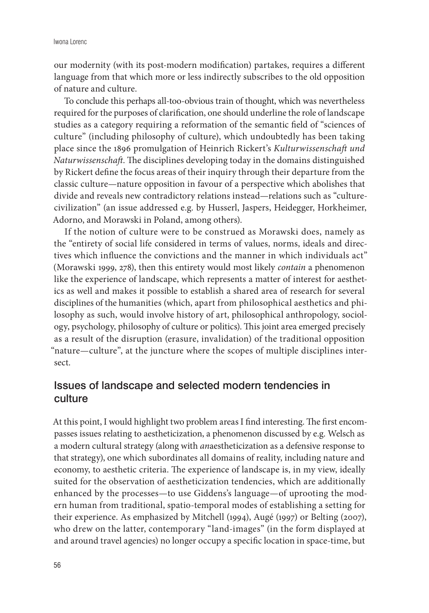our modernity (with its post-modern modification) partakes, requires a different language from that which more or less indirectly subscribes to the old opposition of nature and culture.

To conclude this perhaps all-too-obvious train of thought, which was nevertheless required for the purposes of clarification, one should underline the role of landscape studies as a category requiring a reformation of the semantic field of "sciences of culture" (including philosophy of culture), which undoubtedly has been taking place since the 1896 promulgation of Heinrich Rickert's *Kulturwissenschaft und Naturwissenschaft*. The disciplines developing today in the domains distinguished by Rickert define the focus areas of their inquiry through their departure from the classic culture—nature opposition in favour of a perspective which abolishes that divide and reveals new contradictory relations instead—relations such as "culturecivilization" (an issue addressed e.g. by Husserl, Jaspers, Heidegger, Horkheimer, Adorno, and Morawski in Poland, among others).

If the notion of culture were to be construed as Morawski does, namely as the "entirety of social life considered in terms of values, norms, ideals and directives which influence the convictions and the manner in which individuals act" (Morawski 1999, 278), then this entirety would most likely *contain* a phenomenon like the experience of landscape, which represents a matter of interest for aesthetics as well and makes it possible to establish a shared area of research for several disciplines of the humanities (which, apart from philosophical aesthetics and philosophy as such, would involve history of art, philosophical anthropology, sociology, psychology, philosophy of culture or politics). This joint area emerged precisely as a result of the disruption (erasure, invalidation) of the traditional opposition "nature—culture", at the juncture where the scopes of multiple disciplines intersect.

#### Issues of landscape and selected modern tendencies in culture

At this point, I would highlight two problem areas I find interesting. The first encompasses issues relating to aestheticization, a phenomenon discussed by e.g. Welsch as a modern cultural strategy (along with *an*aestheticization as a defensive response to that strategy), one which subordinates all domains of reality, including nature and economy, to aesthetic criteria. The experience of landscape is, in my view, ideally suited for the observation of aestheticization tendencies, which are additionally enhanced by the processes—to use Giddens's language—of uprooting the modern human from traditional, spatio-temporal modes of establishing a setting for their experience. As emphasized by Mitchell (1994), Augé (1997) or Belting (2007), who drew on the latter, contemporary "land-images" (in the form displayed at and around travel agencies) no longer occupy a specific location in space-time, but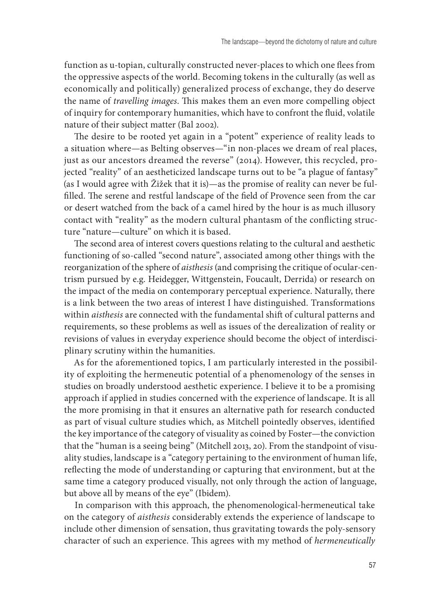function as u-topian, culturally constructed never-places to which one flees from the oppressive aspects of the world. Becoming tokens in the culturally (as well as economically and politically) generalized process of exchange, they do deserve the name of *travelling images*. This makes them an even more compelling object of inquiry for contemporary humanities, which have to confront the fluid, volatile nature of their subject matter (Bal 2002).

The desire to be rooted yet again in a "potent" experience of reality leads to a situation where—as Belting observes—"in non-places we dream of real places, just as our ancestors dreamed the reverse" (2014). However, this recycled, projected "reality" of an aestheticized landscape turns out to be "a plague of fantasy" (as I would agree with Žižek that it is)—as the promise of reality can never be fulfilled. The serene and restful landscape of the field of Provence seen from the car or desert watched from the back of a camel hired by the hour is as much illusory contact with "reality" as the modern cultural phantasm of the conflicting structure "nature—culture" on which it is based.

The second area of interest covers questions relating to the cultural and aesthetic functioning of so-called "second nature", associated among other things with the reorganization of the sphere of *aisthesis* (and comprising the critique of ocular-centrism pursued by e.g. Heidegger, Wittgenstein, Foucault, Derrida) or research on the impact of the media on contemporary perceptual experience. Naturally, there is a link between the two areas of interest I have distinguished. Transformations within *aisthesis* are connected with the fundamental shift of cultural patterns and requirements, so these problems as well as issues of the derealization of reality or revisions of values in everyday experience should become the object of interdisciplinary scrutiny within the humanities.

As for the aforementioned topics, I am particularly interested in the possibility of exploiting the hermeneutic potential of a phenomenology of the senses in studies on broadly understood aesthetic experience. I believe it to be a promising approach if applied in studies concerned with the experience of landscape. It is all the more promising in that it ensures an alternative path for research conducted as part of visual culture studies which, as Mitchell pointedly observes, identified the key importance of the category of visuality as coined by Foster—the conviction that the "human is a seeing being" (Mitchell 2013, 20). From the standpoint of visuality studies, landscape is a "category pertaining to the environment of human life, reflecting the mode of understanding or capturing that environment, but at the same time a category produced visually, not only through the action of language, but above all by means of the eye" (Ibidem).

In comparison with this approach, the phenomenological-hermeneutical take on the category of *aisthesis* considerably extends the experience of landscape to include other dimension of sensation, thus gravitating towards the poly-sensory character of such an experience. This agrees with my method of *hermeneutically*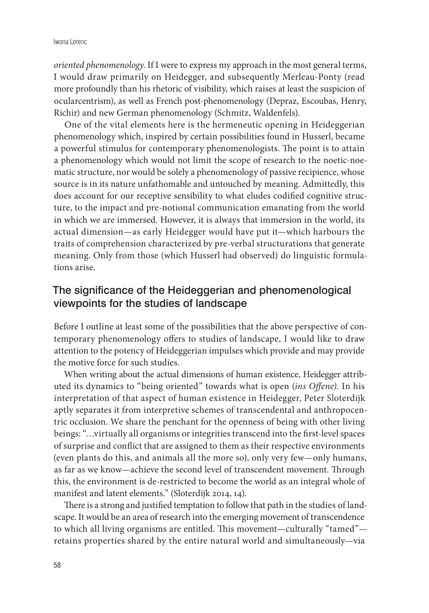*oriented phenomenology*. If I were to express my approach in the most general terms, I would draw primarily on Heidegger, and subsequently Merleau-Ponty (read more profoundly than his rhetoric of visibility, which raises at least the suspicion of ocularcentrism), as well as French post-phenomenology (Depraz, Escoubas, Henry, Richir) and new German phenomenology (Schmitz, Waldenfels).

One of the vital elements here is the hermeneutic opening in Heideggerian phenomenology which, inspired by certain possibilities found in Husserl, became a powerful stimulus for contemporary phenomenologists. The point is to attain a phenomenology which would not limit the scope of research to the noetic-noematic structure, nor would be solely a phenomenology of passive recipience, whose source is in its nature unfathomable and untouched by meaning. Admittedly, this does account for our receptive sensibility to what eludes codified cognitive structure, to the impact and pre-notional communication emanating from the world in which we are immersed. However, it is always that immersion in the world, its actual dimension—as early Heidegger would have put it—which harbours the traits of comprehension characterized by pre-verbal structurations that generate meaning. Only from those (which Husserl had observed) do linguistic formulations arise.

### The significance of the Heideggerian and phenomenological viewpoints for the studies of landscape

Before I outline at least some of the possibilities that the above perspective of contemporary phenomenology offers to studies of landscape, I would like to draw attention to the potency of Heideggerian impulses which provide and may provide the motive force for such studies.

When writing about the actual dimensions of human existence, Heidegger attributed its dynamics to "being oriented" towards what is open (*ins Offene).* In his interpretation of that aspect of human existence in Heidegger, Peter Sloterdijk aptly separates it from interpretive schemes of transcendental and anthropocentric occlusion. We share the penchant for the openness of being with other living beings: "…virtually all organisms or integrities transcend into the first-level spaces of surprise and conflict that are assigned to them as their respective environments (even plants do this, and animals all the more so), only very few—only humans, as far as we know—achieve the second level of transcendent movement. Through this, the environment is de-restricted to become the world as an integral whole of manifest and latent elements." (Sloterdijk 2014, 14).

There is a strong and justified temptation to follow that path in the studies of landscape. It would be an area of research into the emerging movement of transcendence to which all living organisms are entitled. This movement—culturally "tamed" retains properties shared by the entire natural world and simultaneously—via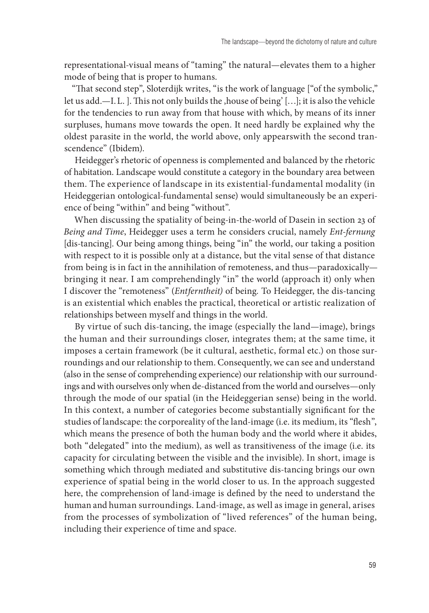representational-visual means of "taming" the natural—elevates them to a higher mode of being that is proper to humans.

"That second step", Sloterdijk writes, "is the work of language ["of the symbolic," let us add.—I. L. ]. This not only builds the , house of being' […]; it is also the vehicle for the tendencies to run away from that house with which, by means of its inner surpluses, humans move towards the open. It need hardly be explained why the oldest parasite in the world, the world above, only appearswith the second transcendence" (Ibidem).

Heidegger's rhetoric of openness is complemented and balanced by the rhetoric of habitation. Landscape would constitute a category in the boundary area between them. The experience of landscape in its existential-fundamental modality (in Heideggerian ontological-fundamental sense) would simultaneously be an experience of being "within" and being "without".

When discussing the spatiality of being-in-the-world of Dasein in section 23 of *Being and Time*, Heidegger uses a term he considers crucial, namely *Ent-fernung*  [dis-tancing]. Our being among things, being "in" the world, our taking a position with respect to it is possible only at a distance, but the vital sense of that distance from being is in fact in the annihilation of remoteness, and thus—paradoxically bringing it near. I am comprehendingly "in" the world (approach it) only when I discover the "remoteness" (*Entferntheit)* of being*.* To Heidegger, the dis-tancing is an existential which enables the practical, theoretical or artistic realization of relationships between myself and things in the world.

By virtue of such dis-tancing, the image (especially the land—image), brings the human and their surroundings closer, integrates them; at the same time, it imposes a certain framework (be it cultural, aesthetic, formal etc.) on those surroundings and our relationship to them. Consequently, we can see and understand (also in the sense of comprehending experience) our relationship with our surroundings and with ourselves only when de-distanced from the world and ourselves—only through the mode of our spatial (in the Heideggerian sense) being in the world. In this context, a number of categories become substantially significant for the studies of landscape: the corporeality of the land-image (i.e. its medium, its "flesh", which means the presence of both the human body and the world where it abides, both "delegated" into the medium), as well as transitiveness of the image (i.e. its capacity for circulating between the visible and the invisible). In short, image is something which through mediated and substitutive dis-tancing brings our own experience of spatial being in the world closer to us. In the approach suggested here, the comprehension of land-image is defined by the need to understand the human and human surroundings. Land-image, as well as image in general, arises from the processes of symbolization of "lived references" of the human being, including their experience of time and space.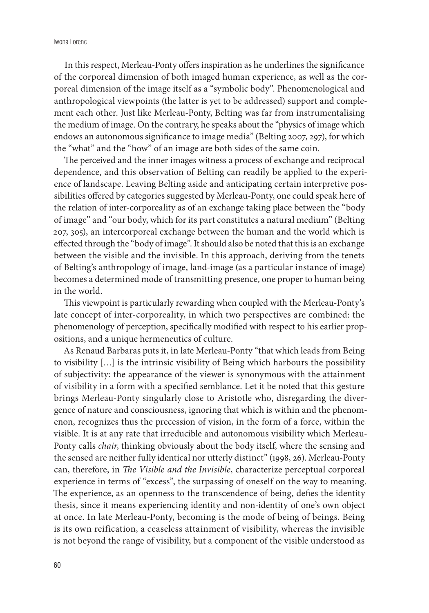In this respect, Merleau-Ponty offers inspiration as he underlines the significance of the corporeal dimension of both imaged human experience, as well as the corporeal dimension of the image itself as a "symbolic body". Phenomenological and anthropological viewpoints (the latter is yet to be addressed) support and complement each other. Just like Merleau-Ponty, Belting was far from instrumentalising the medium of image. On the contrary, he speaks about the "physics of image which endows an autonomous significance to image media" (Belting 2007, 297), for which the "what" and the "how" of an image are both sides of the same coin.

The perceived and the inner images witness a process of exchange and reciprocal dependence, and this observation of Belting can readily be applied to the experience of landscape. Leaving Belting aside and anticipating certain interpretive possibilities offered by categories suggested by Merleau-Ponty, one could speak here of the relation of inter-corporeality as of an exchange taking place between the "body of image" and "our body, which for its part constitutes a natural medium" (Belting 207, 305), an intercorporeal exchange between the human and the world which is effected through the "body of image". It should also be noted that this is an exchange between the visible and the invisible. In this approach, deriving from the tenets of Belting's anthropology of image, land-image (as a particular instance of image) becomes a determined mode of transmitting presence, one proper to human being in the world.

This viewpoint is particularly rewarding when coupled with the Merleau-Ponty's late concept of inter-corporeality, in which two perspectives are combined: the phenomenology of perception, specifically modified with respect to his earlier propositions, and a unique hermeneutics of culture.

As Renaud Barbaras puts it, in late Merleau-Ponty "that which leads from Being to visibility […] is the intrinsic visibility of Being which harbours the possibility of subjectivity: the appearance of the viewer is synonymous with the attainment of visibility in a form with a specified semblance. Let it be noted that this gesture brings Merleau-Ponty singularly close to Aristotle who, disregarding the divergence of nature and consciousness, ignoring that which is within and the phenomenon, recognizes thus the precession of vision, in the form of a force, within the visible. It is at any rate that irreducible and autonomous visibility which Merleau-Ponty calls *chair*, thinking obviously about the body itself, where the sensing and the sensed are neither fully identical nor utterly distinct" (1998, 26). Merleau-Ponty can, therefore, in *The Visible and the Invisible*, characterize perceptual corporeal experience in terms of "excess", the surpassing of oneself on the way to meaning. The experience, as an openness to the transcendence of being, defies the identity thesis, since it means experiencing identity and non-identity of one's own object at once. In late Merleau-Ponty, becoming is the mode of being of beings. Being is its own reification, a ceaseless attainment of visibility, whereas the invisible is not beyond the range of visibility, but a component of the visible understood as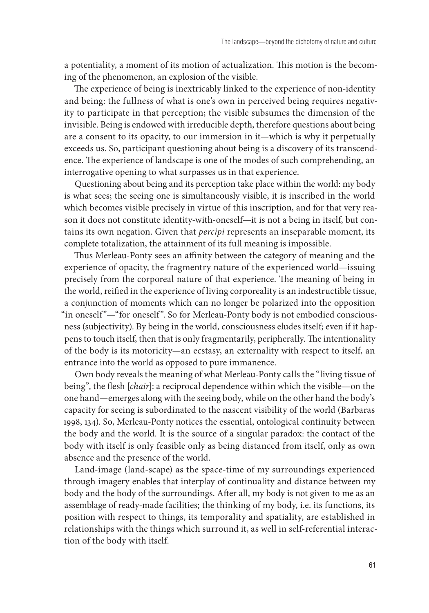a potentiality, a moment of its motion of actualization. This motion is the becoming of the phenomenon, an explosion of the visible.

The experience of being is inextricably linked to the experience of non-identity and being: the fullness of what is one's own in perceived being requires negativity to participate in that perception; the visible subsumes the dimension of the invisible. Being is endowed with irreducible depth, therefore questions about being are a consent to its opacity, to our immersion in it—which is why it perpetually exceeds us. So, participant questioning about being is a discovery of its transcendence. The experience of landscape is one of the modes of such comprehending, an interrogative opening to what surpasses us in that experience.

Questioning about being and its perception take place within the world: my body is what sees; the seeing one is simultaneously visible, it is inscribed in the world which becomes visible precisely in virtue of this inscription, and for that very reason it does not constitute identity-with-oneself—it is not a being in itself, but contains its own negation. Given that *percipi* represents an inseparable moment, its complete totalization, the attainment of its full meaning is impossible.

Thus Merleau-Ponty sees an affinity between the category of meaning and the experience of opacity, the fragmentry nature of the experienced world—issuing precisely from the corporeal nature of that experience. The meaning of being in the world, reified in the experience of living corporeality is an indestructible tissue, a conjunction of moments which can no longer be polarized into the opposition "in oneself"—"for oneself". So for Merleau-Ponty body is not embodied consciousness (subjectivity). By being in the world, consciousness eludes itself; even if it happens to touch itself, then that is only fragmentarily, peripherally. The intentionality of the body is its motoricity—an ecstasy, an externality with respect to itself, an entrance into the world as opposed to pure immanence.

Own body reveals the meaning of what Merleau-Ponty calls the "living tissue of being", the flesh [*chair*]: a reciprocal dependence within which the visible—on the one hand—emerges along with the seeing body, while on the other hand the body's capacity for seeing is subordinated to the nascent visibility of the world (Barbaras 1998, 134). So, Merleau-Ponty notices the essential, ontological continuity between the body and the world. It is the source of a singular paradox: the contact of the body with itself is only feasible only as being distanced from itself, only as own absence and the presence of the world.

Land-image (land-scape) as the space-time of my surroundings experienced through imagery enables that interplay of continuality and distance between my body and the body of the surroundings. After all, my body is not given to me as an assemblage of ready-made facilities; the thinking of my body, i.e. its functions, its position with respect to things, its temporality and spatiality, are established in relationships with the things which surround it, as well in self-referential interaction of the body with itself.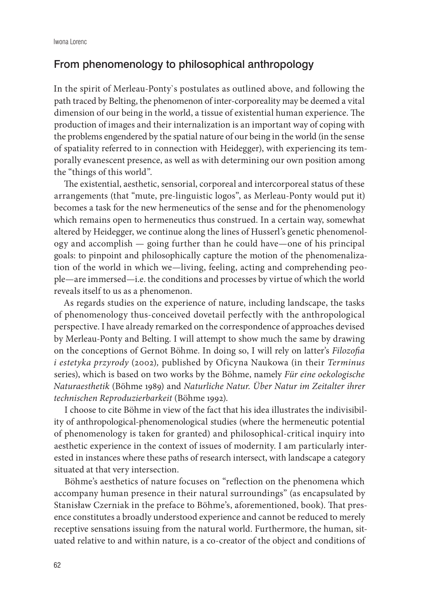#### From phenomenology to philosophical anthropology

In the spirit of Merleau-Ponty`s postulates as outlined above, and following the path traced by Belting, the phenomenon of inter-corporeality may be deemed a vital dimension of our being in the world, a tissue of existential human experience. The production of images and their internalization is an important way of coping with the problems engendered by the spatial nature of our being in the world (in the sense of spatiality referred to in connection with Heidegger), with experiencing its temporally evanescent presence, as well as with determining our own position among the "things of this world".

The existential, aesthetic, sensorial, corporeal and intercorporeal status of these arrangements (that "mute, pre-linguistic logos", as Merleau-Ponty would put it) becomes a task for the new hermeneutics of the sense and for the phenomenology which remains open to hermeneutics thus construed. In a certain way, somewhat altered by Heidegger, we continue along the lines of Husserl's genetic phenomenology and accomplish — going further than he could have—one of his principal goals: to pinpoint and philosophically capture the motion of the phenomenalization of the world in which we—living, feeling, acting and comprehending people—are immersed—i.e. the conditions and processes by virtue of which the world reveals itself to us as a phenomenon.

As regards studies on the experience of nature, including landscape, the tasks of phenomenology thus-conceived dovetail perfectly with the anthropological perspective. I have already remarked on the correspondence of approaches devised by Merleau-Ponty and Belting. I will attempt to show much the same by drawing on the conceptions of Gernot Böhme. In doing so, I will rely on latter's *Filozofia i estetyka przyrody* (2002)*,* published by Oficyna Naukowa (in their *Terminus* series), which is based on two works by the Böhme, namely *Für eine oekologische Naturaesthetik* (Böhme 1989) and *Naturliche Natur. Über Natur im Zeitalter ihrer technischen Reproduzierbarkeit* (Böhme 1992).

I choose to cite Böhme in view of the fact that his idea illustrates the indivisibility of anthropological-phenomenological studies (where the hermeneutic potential of phenomenology is taken for granted) and philosophical-critical inquiry into aesthetic experience in the context of issues of modernity. I am particularly interested in instances where these paths of research intersect, with landscape a category situated at that very intersection.

Böhme's aesthetics of nature focuses on "reflection on the phenomena which accompany human presence in their natural surroundings" (as encapsulated by Stanisław Czerniak in the preface to Böhme's, aforementioned, book). That presence constitutes a broadly understood experience and cannot be reduced to merely receptive sensations issuing from the natural world. Furthermore, the human, situated relative to and within nature, is a co-creator of the object and conditions of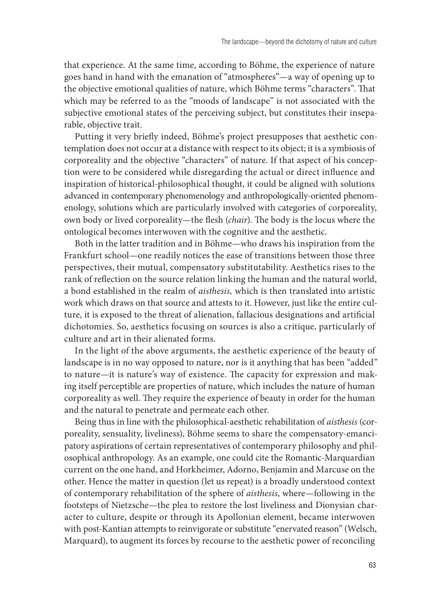that experience. At the same time, according to Böhme, the experience of nature goes hand in hand with the emanation of "atmospheres"—a way of opening up to the objective emotional qualities of nature, which Böhme terms "characters". That which may be referred to as the "moods of landscape" is not associated with the subjective emotional states of the perceiving subject, but constitutes their inseparable, objective trait.

Putting it very briefly indeed, Böhme's project presupposes that aesthetic contemplation does not occur at a distance with respect to its object; it is a symbiosis of corporeality and the objective "characters" of nature. If that aspect of his conception were to be considered while disregarding the actual or direct influence and inspiration of historical-philosophical thought, it could be aligned with solutions advanced in contemporary phenomenology and anthropologically-oriented phenomenology, solutions which are particularly involved with categories of corporeality, own body or lived corporeality—the flesh (*chair*). The body is the locus where the ontological becomes interwoven with the cognitive and the aesthetic.

Both in the latter tradition and in Böhme—who draws his inspiration from the Frankfurt school—one readily notices the ease of transitions between those three perspectives, their mutual, compensatory substitutability. Aesthetics rises to the rank of reflection on the source relation linking the human and the natural world, a bond established in the realm of *aisthesis,* which is then translated into artistic work which draws on that source and attests to it. However, just like the entire culture, it is exposed to the threat of alienation, fallacious designations and artificial dichotomies. So, aesthetics focusing on sources is also a critique, particularly of culture and art in their alienated forms.

In the light of the above arguments, the aesthetic experience of the beauty of landscape is in no way opposed to nature, nor is it anything that has been "added" to nature—it is nature's way of existence. The capacity for expression and making itself perceptible are properties of nature, which includes the nature of human corporeality as well. They require the experience of beauty in order for the human and the natural to penetrate and permeate each other.

Being thus in line with the philosophical-aesthetic rehabilitation of *aisthesis* (corporeality, sensuality, liveliness), Böhme seems to share the compensatory-emancipatory aspirations of certain representatives of contemporary philosophy and philosophical anthropology. As an example, one could cite the Romantic-Marquardian current on the one hand, and Horkheimer, Adorno, Benjamin and Marcuse on the other. Hence the matter in question (let us repeat) is a broadly understood context of contemporary rehabilitation of the sphere of *aisthesis*, where—following in the footsteps of Nietzsche—the plea to restore the lost liveliness and Dionysian character to culture, despite or through its Apollonian element, became interwoven with post-Kantian attempts to reinvigorate or substitute "enervated reason" (Welsch, Marquard), to augment its forces by recourse to the aesthetic power of reconciling